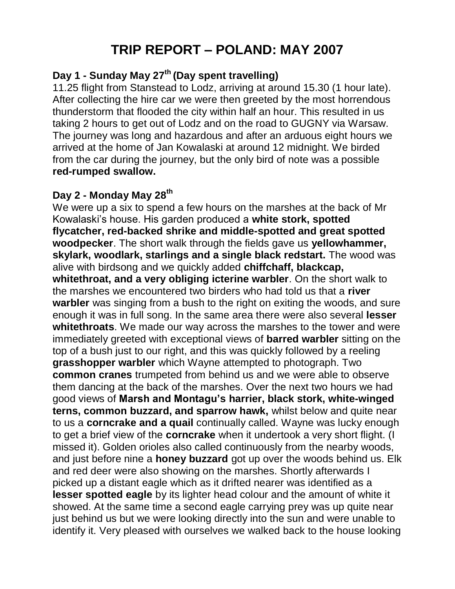# **TRIP REPORT – POLAND: MAY 2007**

# **Day 1 - Sunday May 27th (Day spent travelling)**

11.25 flight from Stanstead to Lodz, arriving at around 15.30 (1 hour late). After collecting the hire car we were then greeted by the most horrendous thunderstorm that flooded the city within half an hour. This resulted in us taking 2 hours to get out of Lodz and on the road to GUGNY via Warsaw. The journey was long and hazardous and after an arduous eight hours we arrived at the home of Jan Kowalaski at around 12 midnight. We birded from the car during the journey, but the only bird of note was a possible **red-rumped swallow.**

## **Day 2 - Monday May 28th**

We were up a six to spend a few hours on the marshes at the back of Mr Kowalaski's house. His garden produced a **white stork, spotted flycatcher, red-backed shrike and middle-spotted and great spotted woodpecker**. The short walk through the fields gave us **yellowhammer, skylark, woodlark, starlings and a single black redstart.** The wood was alive with birdsong and we quickly added **chiffchaff, blackcap, whitethroat, and a very obliging icterine warbler**. On the short walk to the marshes we encountered two birders who had told us that a **river warbler** was singing from a bush to the right on exiting the woods, and sure enough it was in full song. In the same area there were also several **lesser whitethroats**. We made our way across the marshes to the tower and were immediately greeted with exceptional views of **barred warbler** sitting on the top of a bush just to our right, and this was quickly followed by a reeling **grasshopper warbler** which Wayne attempted to photograph. Two **common cranes** trumpeted from behind us and we were able to observe them dancing at the back of the marshes. Over the next two hours we had good views of **Marsh and Montagu's harrier, black stork, white-winged terns, common buzzard, and sparrow hawk,** whilst below and quite near to us a **corncrake and a quail** continually called. Wayne was lucky enough to get a brief view of the **corncrake** when it undertook a very short flight. (I missed it). Golden orioles also called continuously from the nearby woods, and just before nine a **honey buzzard** got up over the woods behind us. Elk and red deer were also showing on the marshes. Shortly afterwards I picked up a distant eagle which as it drifted nearer was identified as a **lesser spotted eagle** by its lighter head colour and the amount of white it showed. At the same time a second eagle carrying prey was up quite near just behind us but we were looking directly into the sun and were unable to identify it. Very pleased with ourselves we walked back to the house looking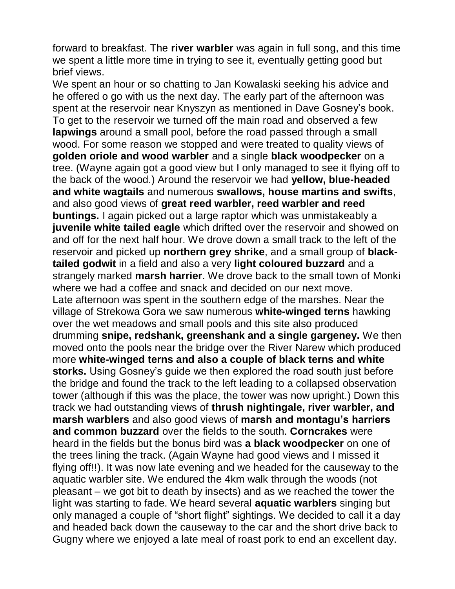forward to breakfast. The **river warbler** was again in full song, and this time we spent a little more time in trying to see it, eventually getting good but brief views.

We spent an hour or so chatting to Jan Kowalaski seeking his advice and he offered o go with us the next day. The early part of the afternoon was spent at the reservoir near Knyszyn as mentioned in Dave Gosney's book. To get to the reservoir we turned off the main road and observed a few **lapwings** around a small pool, before the road passed through a small wood. For some reason we stopped and were treated to quality views of **golden oriole and wood warbler** and a single **black woodpecker** on a tree. (Wayne again got a good view but I only managed to see it flying off to the back of the wood.) Around the reservoir we had **yellow, blue-headed and white wagtails** and numerous **swallows, house martins and swifts**, and also good views of **great reed warbler, reed warbler and reed buntings.** I again picked out a large raptor which was unmistakeably a **juvenile white tailed eagle** which drifted over the reservoir and showed on and off for the next half hour. We drove down a small track to the left of the reservoir and picked up **northern grey shrike**, and a small group of **blacktailed godwit** in a field and also a very **light coloured buzzard** and a strangely marked **marsh harrier**. We drove back to the small town of Monki where we had a coffee and snack and decided on our next move. Late afternoon was spent in the southern edge of the marshes. Near the village of Strekowa Gora we saw numerous **white-winged terns** hawking over the wet meadows and small pools and this site also produced drumming **snipe, redshank, greenshank and a single gargeney.** We then moved onto the pools near the bridge over the River Narew which produced more **white-winged terns and also a couple of black terns and white storks.** Using Gosney's guide we then explored the road south just before the bridge and found the track to the left leading to a collapsed observation tower (although if this was the place, the tower was now upright.) Down this track we had outstanding views of **thrush nightingale, river warbler, and marsh warblers** and also good views of **marsh and montagu's harriers and common buzzard** over the fields to the south. **Corncrakes** were heard in the fields but the bonus bird was **a black woodpecker** on one of the trees lining the track. (Again Wayne had good views and I missed it flying off!!). It was now late evening and we headed for the causeway to the aquatic warbler site. We endured the 4km walk through the woods (not pleasant – we got bit to death by insects) and as we reached the tower the light was starting to fade. We heard several **aquatic warblers** singing but only managed a couple of "short flight" sightings. We decided to call it a day and headed back down the causeway to the car and the short drive back to Gugny where we enjoyed a late meal of roast pork to end an excellent day.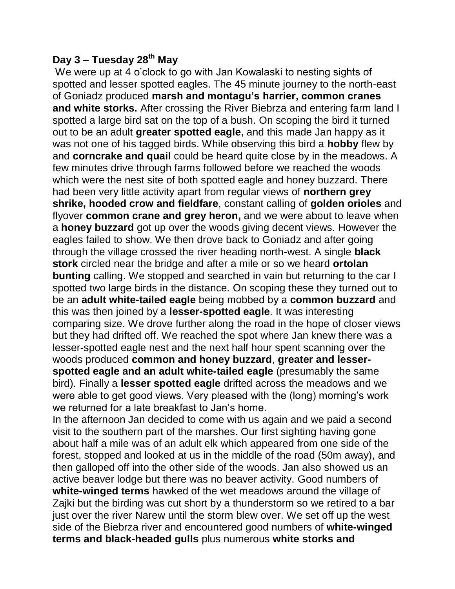## **Day 3 – Tuesday 28th May**

We were up at 4 o'clock to go with Jan Kowalaski to nesting sights of spotted and lesser spotted eagles. The 45 minute journey to the north-east of Goniadz produced **marsh and montagu's harrier, common cranes and white storks.** After crossing the River Biebrza and entering farm land I spotted a large bird sat on the top of a bush. On scoping the bird it turned out to be an adult **greater spotted eagle**, and this made Jan happy as it was not one of his tagged birds. While observing this bird a **hobby** flew by and **corncrake and quail** could be heard quite close by in the meadows. A few minutes drive through farms followed before we reached the woods which were the nest site of both spotted eagle and honey buzzard. There had been very little activity apart from regular views of **northern grey shrike, hooded crow and fieldfare**, constant calling of **golden orioles** and flyover **common crane and grey heron,** and we were about to leave when a **honey buzzard** got up over the woods giving decent views. However the eagles failed to show. We then drove back to Goniadz and after going through the village crossed the river heading north-west. A single **black stork** circled near the bridge and after a mile or so we heard **ortolan bunting** calling. We stopped and searched in vain but returning to the car I spotted two large birds in the distance. On scoping these they turned out to be an **adult white-tailed eagle** being mobbed by a **common buzzard** and this was then joined by a **lesser-spotted eagle**. It was interesting comparing size. We drove further along the road in the hope of closer views but they had drifted off. We reached the spot where Jan knew there was a lesser-spotted eagle nest and the next half hour spent scanning over the woods produced **common and honey buzzard**, **greater and lesserspotted eagle and an adult white-tailed eagle** (presumably the same bird). Finally a **lesser spotted eagle** drifted across the meadows and we were able to get good views. Very pleased with the (long) morning's work we returned for a late breakfast to Jan's home.

In the afternoon Jan decided to come with us again and we paid a second visit to the southern part of the marshes. Our first sighting having gone about half a mile was of an adult elk which appeared from one side of the forest, stopped and looked at us in the middle of the road (50m away), and then galloped off into the other side of the woods. Jan also showed us an active beaver lodge but there was no beaver activity. Good numbers of **white-winged terms** hawked of the wet meadows around the village of Zajki but the birding was cut short by a thunderstorm so we retired to a bar just over the river Narew until the storm blew over. We set off up the west side of the Biebrza river and encountered good numbers of **white-winged terms and black-headed gulls** plus numerous **white storks and**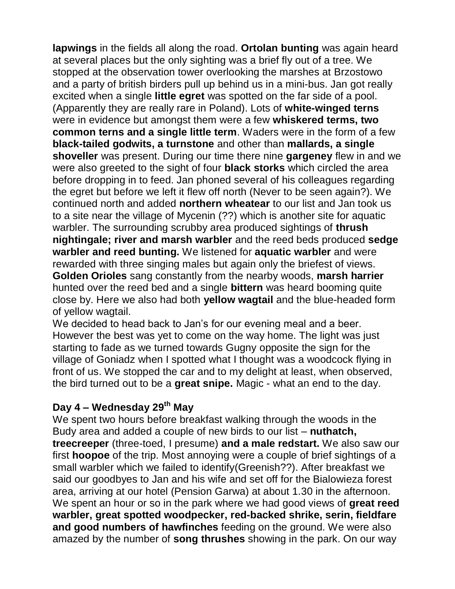**lapwings** in the fields all along the road. **Ortolan bunting** was again heard at several places but the only sighting was a brief fly out of a tree. We stopped at the observation tower overlooking the marshes at Brzostowo and a party of british birders pull up behind us in a mini-bus. Jan got really excited when a single **little egret** was spotted on the far side of a pool. (Apparently they are really rare in Poland). Lots of **white-winged terns** were in evidence but amongst them were a few **whiskered terms, two common terns and a single little term**. Waders were in the form of a few **black-tailed godwits, a turnstone** and other than **mallards, a single shoveller** was present. During our time there nine **gargeney** flew in and we were also greeted to the sight of four **black storks** which circled the area before dropping in to feed. Jan phoned several of his colleagues regarding the egret but before we left it flew off north (Never to be seen again?). We continued north and added **northern wheatear** to our list and Jan took us to a site near the village of Mycenin (??) which is another site for aquatic warbler. The surrounding scrubby area produced sightings of **thrush nightingale; river and marsh warbler** and the reed beds produced **sedge warbler and reed bunting.** We listened for **aquatic warbler** and were rewarded with three singing males but again only the briefest of views. **Golden Orioles** sang constantly from the nearby woods, **marsh harrier** hunted over the reed bed and a single **bittern** was heard booming quite close by. Here we also had both **yellow wagtail** and the blue-headed form of yellow wagtail.

We decided to head back to Jan's for our evening meal and a beer. However the best was yet to come on the way home. The light was just starting to fade as we turned towards Gugny opposite the sign for the village of Goniadz when I spotted what I thought was a woodcock flying in front of us. We stopped the car and to my delight at least, when observed, the bird turned out to be a **great snipe.** Magic - what an end to the day.

## **Day 4 – Wednesday 29th May**

We spent two hours before breakfast walking through the woods in the Budy area and added a couple of new birds to our list – **nuthatch, treecreeper** (three-toed, I presume) **and a male redstart.** We also saw our first **hoopoe** of the trip. Most annoying were a couple of brief sightings of a small warbler which we failed to identify(Greenish??). After breakfast we said our goodbyes to Jan and his wife and set off for the Bialowieza forest area, arriving at our hotel (Pension Garwa) at about 1.30 in the afternoon. We spent an hour or so in the park where we had good views of **great reed warbler, great spotted woodpecker, red-backed shrike, serin, fieldfare and good numbers of hawfinches** feeding on the ground. We were also amazed by the number of **song thrushes** showing in the park. On our way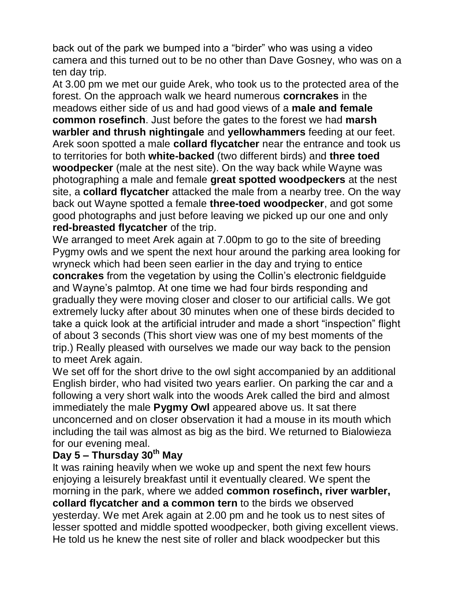back out of the park we bumped into a "birder" who was using a video camera and this turned out to be no other than Dave Gosney, who was on a ten day trip.

At 3.00 pm we met our guide Arek, who took us to the protected area of the forest. On the approach walk we heard numerous **corncrakes** in the meadows either side of us and had good views of a **male and female common rosefinch**. Just before the gates to the forest we had **marsh warbler and thrush nightingale** and **yellowhammers** feeding at our feet. Arek soon spotted a male **collard flycatcher** near the entrance and took us to territories for both **white-backed** (two different birds) and **three toed woodpecker** (male at the nest site). On the way back while Wayne was photographing a male and female **great spotted woodpeckers** at the nest site, a **collard flycatcher** attacked the male from a nearby tree. On the way back out Wayne spotted a female **three-toed woodpecker**, and got some good photographs and just before leaving we picked up our one and only **red-breasted flycatcher** of the trip.

We arranged to meet Arek again at 7.00pm to go to the site of breeding Pygmy owls and we spent the next hour around the parking area looking for wryneck which had been seen earlier in the day and trying to entice **concrakes** from the vegetation by using the Collin's electronic fieldguide and Wayne's palmtop. At one time we had four birds responding and gradually they were moving closer and closer to our artificial calls. We got extremely lucky after about 30 minutes when one of these birds decided to take a quick look at the artificial intruder and made a short "inspection" flight of about 3 seconds (This short view was one of my best moments of the trip.) Really pleased with ourselves we made our way back to the pension to meet Arek again.

We set off for the short drive to the owl sight accompanied by an additional English birder, who had visited two years earlier. On parking the car and a following a very short walk into the woods Arek called the bird and almost immediately the male **Pygmy Owl** appeared above us. It sat there unconcerned and on closer observation it had a mouse in its mouth which including the tail was almost as big as the bird. We returned to Bialowieza for our evening meal.

## **Day 5 – Thursday 30th May**

It was raining heavily when we woke up and spent the next few hours enjoying a leisurely breakfast until it eventually cleared. We spent the morning in the park, where we added **common rosefinch, river warbler, collard flycatcher and a common tern** to the birds we observed yesterday. We met Arek again at 2.00 pm and he took us to nest sites of lesser spotted and middle spotted woodpecker, both giving excellent views. He told us he knew the nest site of roller and black woodpecker but this